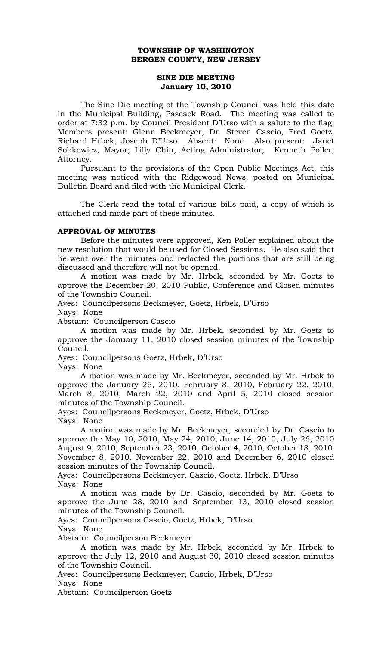## **TOWNSHIP OF WASHINGTON BERGEN COUNTY, NEW JERSEY**

## **SINE DIE MEETING January 10, 2010**

The Sine Die meeting of the Township Council was held this date in the Municipal Building, Pascack Road. The meeting was called to order at 7:32 p.m. by Council President D'Urso with a salute to the flag. Members present: Glenn Beckmeyer, Dr. Steven Cascio, Fred Goetz, Richard Hrbek, Joseph D'Urso. Absent: None. Also present: Janet Sobkowicz, Mayor; Lilly Chin, Acting Administrator; Kenneth Poller, Attorney.

 Pursuant to the provisions of the Open Public Meetings Act, this meeting was noticed with the Ridgewood News, posted on Municipal Bulletin Board and filed with the Municipal Clerk.

 The Clerk read the total of various bills paid, a copy of which is attached and made part of these minutes.

## **APPROVAL OF MINUTES**

 Before the minutes were approved, Ken Poller explained about the new resolution that would be used for Closed Sessions. He also said that he went over the minutes and redacted the portions that are still being discussed and therefore will not be opened.

 A motion was made by Mr. Hrbek, seconded by Mr. Goetz to approve the December 20, 2010 Public, Conference and Closed minutes of the Township Council.

Ayes: Councilpersons Beckmeyer, Goetz, Hrbek, D'Urso

Nays: None

Abstain: Councilperson Cascio

 A motion was made by Mr. Hrbek, seconded by Mr. Goetz to approve the January 11, 2010 closed session minutes of the Township Council.

Ayes: Councilpersons Goetz, Hrbek, D'Urso Nays: None

 A motion was made by Mr. Beckmeyer, seconded by Mr. Hrbek to approve the January 25, 2010, February 8, 2010, February 22, 2010, March 8, 2010, March 22, 2010 and April 5, 2010 closed session minutes of the Township Council.

Ayes: Councilpersons Beckmeyer, Goetz, Hrbek, D'Urso Nays: None

 A motion was made by Mr. Beckmeyer, seconded by Dr. Cascio to approve the May 10, 2010, May 24, 2010, June 14, 2010, July 26, 2010 August 9, 2010, September 23, 2010, October 4, 2010, October 18, 2010 November 8, 2010, November 22, 2010 and December 6, 2010 closed session minutes of the Township Council.

Ayes: Councilpersons Beckmeyer, Cascio, Goetz, Hrbek, D'Urso Nays: None

 A motion was made by Dr. Cascio, seconded by Mr. Goetz to approve the June 28, 2010 and September 13, 2010 closed session minutes of the Township Council.

Ayes: Councilpersons Cascio, Goetz, Hrbek, D'Urso Nays: None

Abstain: Councilperson Beckmeyer

 A motion was made by Mr. Hrbek, seconded by Mr. Hrbek to approve the July 12, 2010 and August 30, 2010 closed session minutes of the Township Council.

Ayes: Councilpersons Beckmeyer, Cascio, Hrbek, D'Urso

Nays: None

Abstain: Councilperson Goetz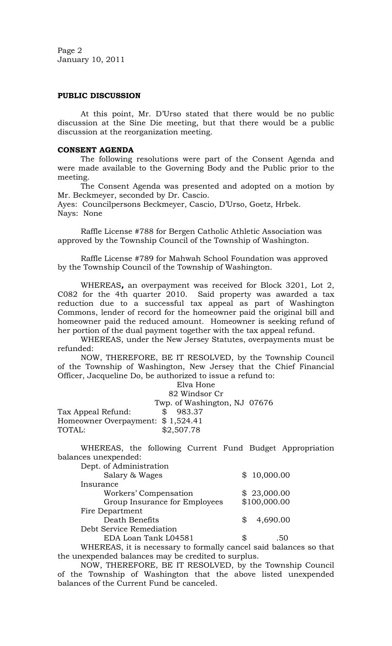Page 2 January 10, 2011

# **PUBLIC DISCUSSION**

 At this point, Mr. D'Urso stated that there would be no public discussion at the Sine Die meeting, but that there would be a public discussion at the reorganization meeting.

#### **CONSENT AGENDA**

 The following resolutions were part of the Consent Agenda and were made available to the Governing Body and the Public prior to the meeting.

The Consent Agenda was presented and adopted on a motion by Mr. Beckmeyer, seconded by Dr. Cascio.

Ayes: Councilpersons Beckmeyer, Cascio, D'Urso, Goetz, Hrbek. Nays: None

 Raffle License #788 for Bergen Catholic Athletic Association was approved by the Township Council of the Township of Washington.

 Raffle License #789 for Mahwah School Foundation was approved by the Township Council of the Township of Washington.

 WHEREAS*,* an overpayment was received for Block 3201, Lot 2, C082 for the 4th quarter 2010. Said property was awarded a tax reduction due to a successful tax appeal as part of Washington Commons, lender of record for the homeowner paid the original bill and homeowner paid the reduced amount. Homeowner is seeking refund of her portion of the dual payment together with the tax appeal refund.

WHEREAS, under the New Jersey Statutes, overpayments must be refunded:

NOW, THEREFORE, BE IT RESOLVED, by the Township Council of the Township of Washington, New Jersey that the Chief Financial Officer, Jacqueline Do, be authorized to issue a refund to:

|                                   | Elva Hone                    |  |  |
|-----------------------------------|------------------------------|--|--|
|                                   | 82 Windsor Cr                |  |  |
|                                   | Twp. of Washington, NJ 07676 |  |  |
| Tax Appeal Refund:                | 983.37                       |  |  |
| Homeowner Overpayment: \$1,524.41 |                              |  |  |
| TOTAL:                            | \$2,507.78                   |  |  |

WHEREAS, the following Current Fund Budget Appropriation balances unexpended:

| Dept. of Administration       |    |              |
|-------------------------------|----|--------------|
| Salary & Wages                |    | \$10,000.00  |
| Insurance                     |    |              |
| Workers' Compensation         |    | \$23,000.00  |
| Group Insurance for Employees |    | \$100,000.00 |
| Fire Department               |    |              |
| Death Benefits                |    | 4,690.00     |
| Debt Service Remediation      |    |              |
| EDA Loan Tank L04581          | ዌ. |              |

 WHEREAS, it is necessary to formally cancel said balances so that the unexpended balances may be credited to surplus.

 NOW, THEREFORE, BE IT RESOLVED, by the Township Council of the Township of Washington that the above listed unexpended balances of the Current Fund be canceled.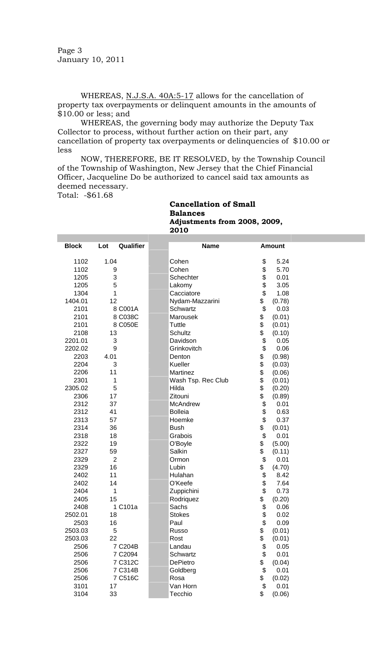Page 3 January 10, 2011

WHEREAS, N.J.S.A. 40A:5-17 allows for the cancellation of property tax overpayments or delinquent amounts in the amounts of \$10.00 or less; and

WHEREAS, the governing body may authorize the Deputy Tax Collector to process, without further action on their part, any cancellation of property tax overpayments or delinquencies of \$10.00 or less

NOW, THEREFORE, BE IT RESOLVED, by the Township Council of the Township of Washington, New Jersey that the Chief Financial Officer, Jacqueline Do be authorized to cancel said tax amounts as deemed necessary.

Total: -\$61.68

### **Cancellation of Small Balances Adjustments from 2008, 2009, 2010**

| <b>Block</b> | Qualifier<br>Lot | <b>Name</b>        |             | <b>Amount</b> |
|--------------|------------------|--------------------|-------------|---------------|
| 1102         | 1.04             | Cohen              | \$          | 5.24          |
| 1102         | 9                | Cohen              | \$          | 5.70          |
| 1205         | 3                | Schechter          | \$          | 0.01          |
| 1205         | 5                | Lakomy             | \$          | 3.05          |
| 1304         | 1                | Cacciatore         | \$          | 1.08          |
| 1404.01      | 12               | Nydam-Mazzarini    | \$          | (0.78)        |
| 2101         | 8 C001A          | Schwartz           | \$          | 0.03          |
| 2101         | 8 C038C          | Marousek           | \$          | (0.01)        |
| 2101         | 8 C050E          | Tuttle             | \$          | (0.01)        |
| 2108         | 13               | Schultz            | \$          | (0.10)        |
| 2201.01      | 3                | Davidson           | \$          | 0.05          |
| 2202.02      | 9                | Grinkovitch        | \$          | 0.06          |
| 2203         | 4.01             | Denton             | \$          | (0.98)        |
| 2204         | 3                | Kueller            | $\ddot{\$}$ | (0.03)        |
| 2206         | 11               | Martinez           | \$          | (0.06)        |
| 2301         | 1                | Wash Tsp. Rec Club | \$          | (0.01)        |
| 2305.02      | 5                | Hilda              | \$          | (0.20)        |
| 2306         | 17               | Zitouni            | \$          | (0.89)        |
| 2312         | 37               | McAndrew           | \$          | 0.01          |
| 2312         | 41               | <b>Bolleia</b>     | \$          | 0.63          |
| 2313         | 57               | Hoemke             | \$          | 0.37          |
| 2314         | 36               | <b>Bush</b>        | \$          | (0.01)        |
| 2318         | 18               | Grabois            | \$          | 0.01          |
| 2322         | 19               | O'Boyle            | \$          | (5.00)        |
| 2327         | 59               | Salkin             | \$          | (0.11)        |
| 2329         | $\overline{2}$   | Ormon              | \$          | 0.01          |
| 2329         | 16               | Lubin              | \$          | (4.70)        |
| 2402         | 11               | Hulahan            | \$          | 8.42          |
| 2402         | 14               | O'Keefe            | \$          | 7.64          |
| 2404         | 1                | Zuppichini         | \$          | 0.73          |
| 2405         | 15               | Rodriquez          | \$          | (0.20)        |
| 2408         | 1 C101a          | Sachs              | \$          | 0.06          |
| 2502.01      | 18               | <b>Stokes</b>      | \$          | 0.02          |
| 2503         | 16               | Paul               | \$          | 0.09          |
| 2503.03      | 5                | Russo              | \$          | (0.01)        |
| 2503.03      | 22               | Rost               | \$          | (0.01)        |
| 2506         | 7 C204B          | Landau             | \$          | 0.05          |
| 2506         | 7 C2094          | Schwartz           | $\ddot{\$}$ | 0.01          |
| 2506         | 7 C312C          | DePietro           | \$          | (0.04)        |
| 2506         | 7 C314B          | Goldberg           | \$          | 0.01          |
| 2506         | 7 C516C          | Rosa               | \$          | (0.02)        |
| 3101         | 17               | Van Horn           | \$          | 0.01          |
| 3104         | 33               | Tecchio            | \$          | (0.06)        |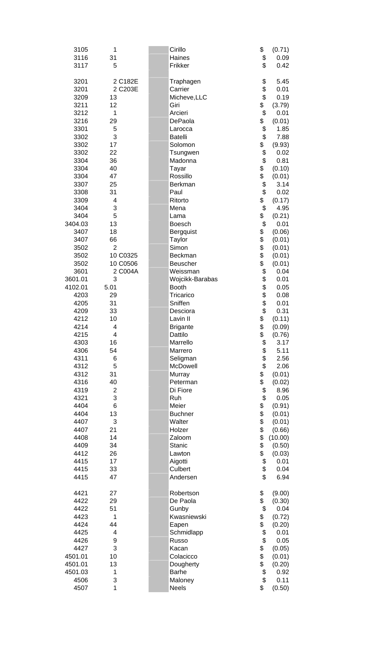| 3105            | 1                       | Cirillo                   | \$<br>(0.71)               |
|-----------------|-------------------------|---------------------------|----------------------------|
| 3116            | 31                      | Haines                    | \$<br>0.09                 |
| 3117            | 5                       | Frikker                   | \$<br>0.42                 |
| 3201            | 2 C182E                 | Traphagen                 | \$<br>5.45                 |
| 3201            | 2 C203E                 | Carrier                   | \$<br>0.01                 |
| 3209            | 13                      | Micheve, LLC              | \$<br>0.19                 |
| 3211            | 12                      | Giri                      | \$<br>(3.79)               |
| 3212            | 1                       | Arcieri                   | \$<br>0.01                 |
| 3216            | 29                      | DePaola                   | \$<br>(0.01)               |
| 3301            | 5                       | Larocca                   | \$<br>1.85                 |
| 3302            | 3                       | <b>Batelli</b>            | \$<br>7.88                 |
| 3302            | 17                      | Solomon                   | \$<br>(9.93)               |
| 3302            | 22                      | Tsungwen                  | \$<br>0.02                 |
| 3304            | 36                      | Madonna                   | \$<br>0.81                 |
| 3304            | 40                      | Tayar                     | \$<br>(0.10)               |
| 3304            | 47<br>25                | Rossillo<br>Berkman       | \$<br>(0.01)<br>\$<br>3.14 |
| 3307<br>3308    | 31                      | Paul                      | \$<br>0.02                 |
| 3309            | 4                       | Ritorto                   | \$<br>(0.17)               |
| 3404            | 3                       | Mena                      | \$<br>4.95                 |
| 3404            | 5                       | Lama                      | \$<br>(0.21)               |
| 3404.03         | 13                      | <b>Boesch</b>             | \$<br>0.01                 |
| 3407            | 18                      | Bergquist                 | \$<br>(0.06)               |
| 3407            | 66                      | <b>Taylor</b>             | \$<br>(0.01)               |
| 3502            | $\overline{2}$          | Simon                     | \$<br>(0.01)               |
| 3502            | 10 C0325                | Beckman                   | \$<br>(0.01)               |
| 3502            | 10 C0506                | Beuscher                  | \$<br>(0.01)               |
| 3601            | 2 C004A                 | Weissman                  | \$<br>0.04                 |
| 3601.01         | 3                       | Wojcikk-Barabas           | \$<br>0.01                 |
| 4102.01<br>4203 | 5.01<br>29              | <b>Booth</b><br>Tricarico | \$<br>0.05<br>0.08         |
| 4205            | 31                      | Sniffen                   | \$<br>0.01                 |
| 4209            | 33                      | Desciora                  | $\ddot{\$}$<br>0.31        |
| 4212            | 10                      | Lavin II                  | \$<br>(0.11)               |
| 4214            | 4                       | <b>Brigante</b>           | \$<br>(0.09)               |
| 4215            | 4                       | Dattilo                   | \$<br>(0.76)               |
| 4303            | 16                      | Marrello                  | \$<br>3.17                 |
| 4306            | 54                      | Marrero                   | \$<br>5.11                 |
| 4311            | 6                       | Seligman                  | \$<br>2.56                 |
| 4312<br>4312    | 5<br>31                 | McDowell<br>Murray        | \$<br>2.06<br>\$<br>(0.01) |
| 4316            | 40                      | Peterman                  | \$<br>(0.02)               |
| 4319            | $\overline{\mathbf{c}}$ | Di Fiore                  | \$<br>8.96                 |
| 4321            | 3                       | Ruh                       | \$<br>0.05                 |
| 4404            | 6                       | Meier                     | \$<br>(0.91)               |
| 4404            | 13                      | <b>Buchner</b>            | \$<br>\$<br>(0.01)         |
| 4407            | 3                       | Walter                    | (0.01)                     |
| 4407            | 21                      | Holzer                    | \$<br>(0.66)               |
| 4408            | 14                      | Zaloom                    | \$<br>(10.00)              |
| 4409            | 34                      | Stanic                    | \$<br>(0.50)               |
| 4412<br>4415    | 26<br>17                | Lawton<br>Aigotti         | \$<br>(0.03)<br>\$<br>0.01 |
| 4415            | 33                      | Culbert                   | \$<br>0.04                 |
| 4415            | 47                      | Andersen                  | \$<br>6.94                 |
|                 |                         |                           |                            |
| 4421            | 27                      | Robertson                 | \$<br>(9.00)               |
| 4422<br>4422    | 29<br>51                | De Paola<br>Gunby         | \$<br>(0.30)<br>\$<br>0.04 |
| 4423            | 1                       | Kwasniewski               | \$<br>(0.72)               |
| 4424            | 44                      | Eapen                     | \$<br>(0.20)               |
| 4425            | 4                       | Schmidlapp                | \$<br>0.01                 |
| 4426            | 9                       | Russo                     | \$<br>0.05                 |
| 4427            | 3                       | Kacan                     | \$<br>\$<br>(0.05)         |
| 4501.01         | 10                      | Colacicco                 | (0.01)                     |
| 4501.01         | 13                      | Dougherty                 | \$<br>(0.20)               |
| 4501.03         | 1                       | <b>Barhe</b>              | \$<br>0.92<br>\$           |
| 4506<br>4507    | 3<br>1                  | Maloney<br><b>Neels</b>   | 0.11<br>\$<br>(0.50)       |
|                 |                         |                           |                            |